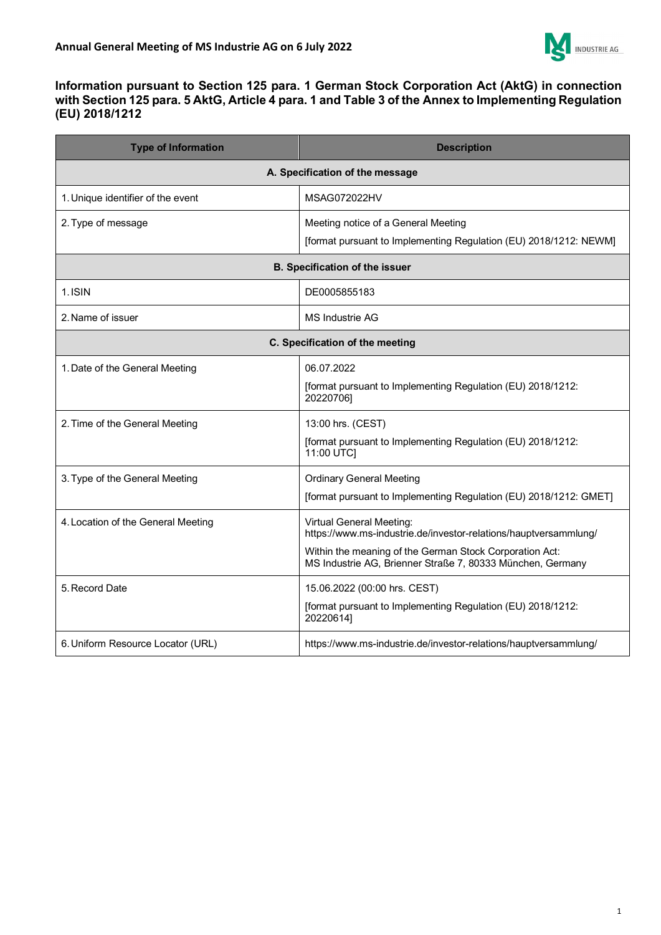

## **Information pursuant to Section 125 para. 1 German Stock Corporation Act (AktG) in connection with Section 125 para. 5 AktG, Article 4 para. 1 and Table 3 of the Annex to Implementing Regulation (EU) 2018/1212**

| <b>Type of Information</b>         | <b>Description</b>                                                                                                    |
|------------------------------------|-----------------------------------------------------------------------------------------------------------------------|
| A. Specification of the message    |                                                                                                                       |
| 1. Unique identifier of the event  | MSAG072022HV                                                                                                          |
| 2. Type of message                 | Meeting notice of a General Meeting                                                                                   |
|                                    | [format pursuant to Implementing Regulation (EU) 2018/1212: NEWM]                                                     |
| B. Specification of the issuer     |                                                                                                                       |
| 1. ISIN                            | DE0005855183                                                                                                          |
| 2. Name of issuer                  | MS Industrie AG                                                                                                       |
| C. Specification of the meeting    |                                                                                                                       |
| 1. Date of the General Meeting     | 06.07.2022                                                                                                            |
|                                    | [format pursuant to Implementing Regulation (EU) 2018/1212:<br>20220706]                                              |
| 2. Time of the General Meeting     | 13:00 hrs. (CEST)                                                                                                     |
|                                    | [format pursuant to Implementing Regulation (EU) 2018/1212:<br>11:00 UTC]                                             |
| 3. Type of the General Meeting     | <b>Ordinary General Meeting</b>                                                                                       |
|                                    | [format pursuant to Implementing Regulation (EU) 2018/1212: GMET]                                                     |
| 4. Location of the General Meeting | <b>Virtual General Meeting:</b><br>https://www.ms-industrie.de/investor-relations/hauptversammlung/                   |
|                                    | Within the meaning of the German Stock Corporation Act:<br>MS Industrie AG, Brienner Straße 7, 80333 München, Germany |
| 5. Record Date                     | 15.06.2022 (00:00 hrs. CEST)                                                                                          |
|                                    | [format pursuant to Implementing Regulation (EU) 2018/1212:<br>20220614]                                              |
| 6. Uniform Resource Locator (URL)  | https://www.ms-industrie.de/investor-relations/hauptversammlung/                                                      |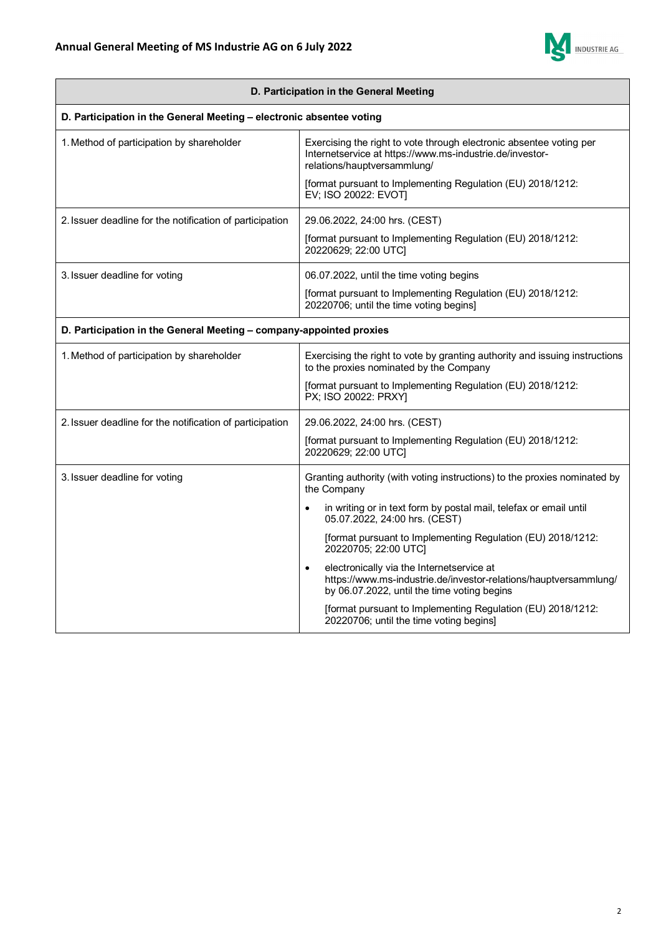

| D. Participation in the General Meeting                              |                                                                                                                                                                |
|----------------------------------------------------------------------|----------------------------------------------------------------------------------------------------------------------------------------------------------------|
| D. Participation in the General Meeting - electronic absentee voting |                                                                                                                                                                |
| 1. Method of participation by shareholder                            | Exercising the right to vote through electronic absentee voting per<br>Internetservice at https://www.ms-industrie.de/investor-<br>relations/hauptversammlung/ |
|                                                                      | [format pursuant to Implementing Regulation (EU) 2018/1212:<br>EV; ISO 20022: EVOT]                                                                            |
| 2. Issuer deadline for the notification of participation             | 29.06.2022, 24:00 hrs. (CEST)                                                                                                                                  |
|                                                                      | [format pursuant to Implementing Regulation (EU) 2018/1212:<br>20220629; 22:00 UTC]                                                                            |
| 3. Issuer deadline for voting                                        | 06.07.2022, until the time voting begins                                                                                                                       |
|                                                                      | [format pursuant to Implementing Regulation (EU) 2018/1212:<br>20220706; until the time voting begins]                                                         |
| D. Participation in the General Meeting - company-appointed proxies  |                                                                                                                                                                |
| 1. Method of participation by shareholder                            | Exercising the right to vote by granting authority and issuing instructions<br>to the proxies nominated by the Company                                         |
|                                                                      | [format pursuant to Implementing Regulation (EU) 2018/1212:<br>PX; ISO 20022: PRXY]                                                                            |
| 2. Issuer deadline for the notification of participation             | 29.06.2022, 24:00 hrs. (CEST)                                                                                                                                  |
|                                                                      | [format pursuant to Implementing Regulation (EU) 2018/1212:<br>20220629; 22:00 UTC]                                                                            |
| 3. Issuer deadline for voting                                        | Granting authority (with voting instructions) to the proxies nominated by<br>the Company                                                                       |
|                                                                      | in writing or in text form by postal mail, telefax or email until<br>$\bullet$<br>05.07.2022, 24:00 hrs. (CEST)                                                |
|                                                                      | [format pursuant to Implementing Regulation (EU) 2018/1212:<br>20220705; 22:00 UTC]                                                                            |
|                                                                      | electronically via the Internetservice at<br>https://www.ms-industrie.de/investor-relations/hauptversammlung/<br>by 06.07.2022, until the time voting begins   |
|                                                                      | [format pursuant to Implementing Regulation (EU) 2018/1212:<br>20220706; until the time voting begins]                                                         |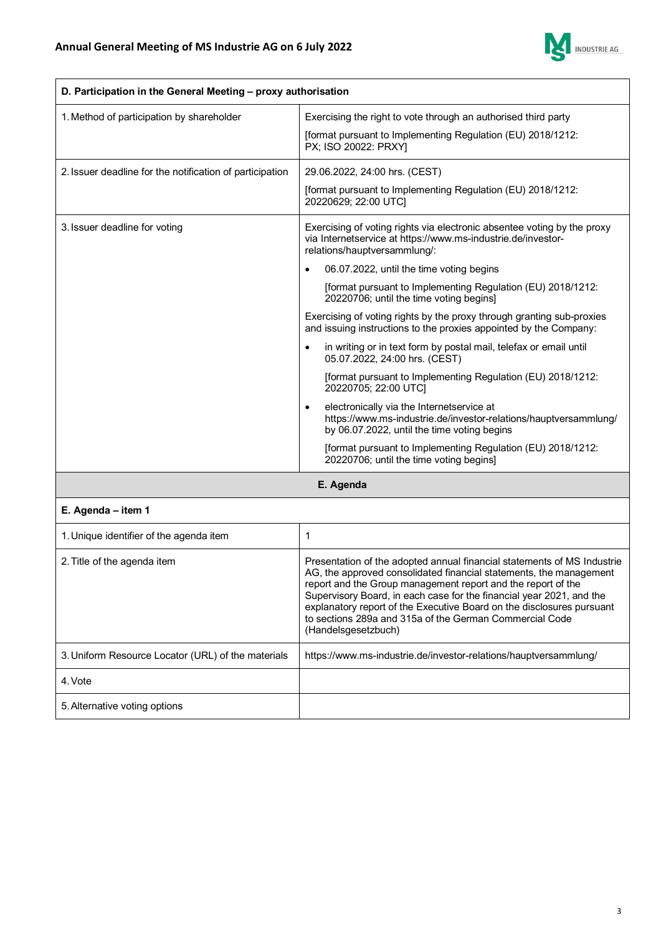

| D. Participation in the General Meeting - proxy authorisation |                                                                                                                                                                           |
|---------------------------------------------------------------|---------------------------------------------------------------------------------------------------------------------------------------------------------------------------|
| 1. Method of participation by shareholder                     | Exercising the right to vote through an authorised third party                                                                                                            |
|                                                               | [format pursuant to Implementing Regulation (EU) 2018/1212:<br>PX; ISO 20022: PRXY]                                                                                       |
| 2. Issuer deadline for the notification of participation      | 29.06.2022, 24:00 hrs. (CEST)                                                                                                                                             |
|                                                               | [format pursuant to Implementing Regulation (EU) 2018/1212:<br>20220629; 22:00 UTC]                                                                                       |
| 3. Issuer deadline for voting                                 | Exercising of voting rights via electronic absentee voting by the proxy<br>via Internetservice at https://www.ms-industrie.de/investor-<br>relations/hauptversammlung/:   |
|                                                               | 06.07.2022, until the time voting begins                                                                                                                                  |
|                                                               | [format pursuant to Implementing Regulation (EU) 2018/1212:<br>20220706; until the time voting begins]                                                                    |
|                                                               | Exercising of voting rights by the proxy through granting sub-proxies<br>and issuing instructions to the proxies appointed by the Company:                                |
|                                                               | in writing or in text form by postal mail, telefax or email until<br>05.07.2022, 24:00 hrs. (CEST)                                                                        |
|                                                               | [format pursuant to Implementing Regulation (EU) 2018/1212:<br>20220705; 22:00 UTC]                                                                                       |
|                                                               | electronically via the Internetservice at<br>$\bullet$<br>https://www.ms-industrie.de/investor-relations/hauptversammlung/<br>by 06.07.2022, until the time voting begins |
|                                                               | [format pursuant to Implementing Regulation (EU) 2018/1212:<br>20220706; until the time voting begins]                                                                    |
| E. Agenda                                                     |                                                                                                                                                                           |
| E. Agenda – item 1                                            |                                                                                                                                                                           |

| 1. Unique identifier of the agenda item            |                                                                                                                                                                                                                                                                                                                                                                                                                                                  |
|----------------------------------------------------|--------------------------------------------------------------------------------------------------------------------------------------------------------------------------------------------------------------------------------------------------------------------------------------------------------------------------------------------------------------------------------------------------------------------------------------------------|
| 2. Title of the agenda item                        | Presentation of the adopted annual financial statements of MS Industrie<br>AG, the approved consolidated financial statements, the management<br>report and the Group management report and the report of the<br>Supervisory Board, in each case for the financial year 2021, and the<br>explanatory report of the Executive Board on the disclosures pursuant<br>to sections 289a and 315a of the German Commercial Code<br>(Handelsgesetzbuch) |
| 3. Uniform Resource Locator (URL) of the materials | https://www.ms-industrie.de/investor-relations/hauptversammlung/                                                                                                                                                                                                                                                                                                                                                                                 |
| 4. Vote                                            |                                                                                                                                                                                                                                                                                                                                                                                                                                                  |
| 5. Alternative voting options                      |                                                                                                                                                                                                                                                                                                                                                                                                                                                  |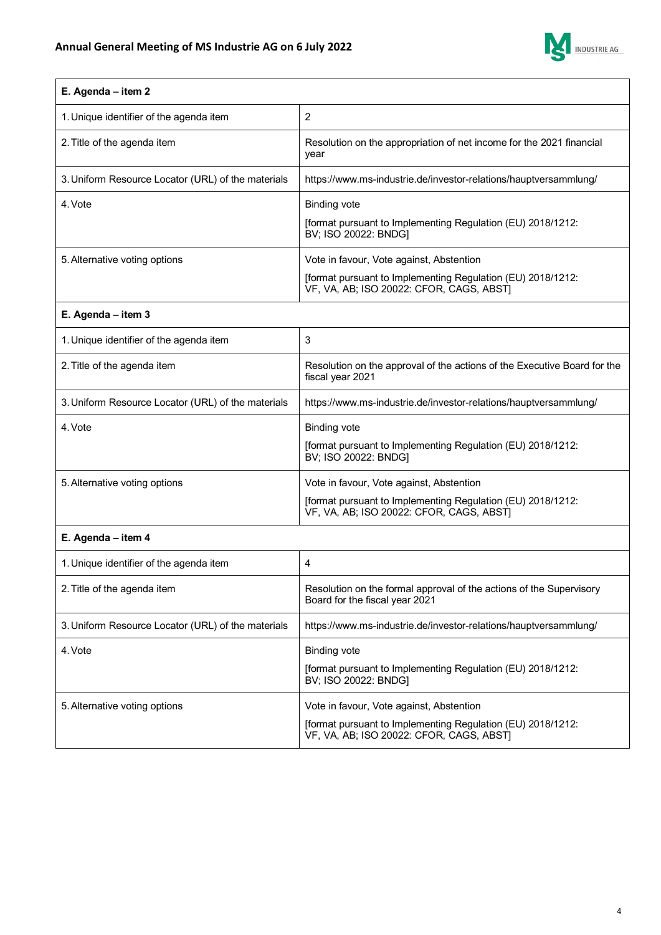

| E. Agenda – item 2                                 |                                                                                                                                                     |
|----------------------------------------------------|-----------------------------------------------------------------------------------------------------------------------------------------------------|
| 1. Unique identifier of the agenda item            | 2                                                                                                                                                   |
| 2. Title of the agenda item                        | Resolution on the appropriation of net income for the 2021 financial<br>year                                                                        |
| 3. Uniform Resource Locator (URL) of the materials | https://www.ms-industrie.de/investor-relations/hauptversammlung/                                                                                    |
| 4. Vote                                            | <b>Binding vote</b><br>[format pursuant to Implementing Regulation (EU) 2018/1212:<br>BV; ISO 20022: BNDG]                                          |
| 5. Alternative voting options                      | Vote in favour, Vote against, Abstention<br>[format pursuant to Implementing Regulation (EU) 2018/1212:<br>VF, VA, AB; ISO 20022: CFOR, CAGS, ABST] |

## **E. Agenda – item 3**

| 1. Unique identifier of the agenda item            | 3                                                                                                                                                   |
|----------------------------------------------------|-----------------------------------------------------------------------------------------------------------------------------------------------------|
| 2. Title of the agenda item                        | Resolution on the approval of the actions of the Executive Board for the<br>fiscal year 2021                                                        |
| 3. Uniform Resource Locator (URL) of the materials | https://www.ms-industrie.de/investor-relations/hauptversammlung/                                                                                    |
| 4. Vote                                            | <b>Binding vote</b><br>[format pursuant to Implementing Regulation (EU) 2018/1212:<br>BV; ISO 20022: BNDG]                                          |
| 5. Alternative voting options                      | Vote in favour, Vote against, Abstention<br>[format pursuant to Implementing Regulation (EU) 2018/1212:<br>VF, VA, AB; ISO 20022: CFOR, CAGS, ABSTI |

## **E. Agenda – item 4**

| 1. Unique identifier of the agenda item            | 4                                                                                                                                                   |
|----------------------------------------------------|-----------------------------------------------------------------------------------------------------------------------------------------------------|
| 2. Title of the agenda item                        | Resolution on the formal approval of the actions of the Supervisory<br>Board for the fiscal year 2021                                               |
| 3. Uniform Resource Locator (URL) of the materials | https://www.ms-industrie.de/investor-relations/hauptversammlung/                                                                                    |
| 4. Vote                                            | <b>Binding vote</b><br>[format pursuant to Implementing Regulation (EU) 2018/1212:<br>BV; ISO 20022: BNDG]                                          |
| 5. Alternative voting options                      | Vote in favour, Vote against, Abstention<br>[format pursuant to Implementing Regulation (EU) 2018/1212:<br>VF, VA, AB; ISO 20022: CFOR, CAGS, ABSTI |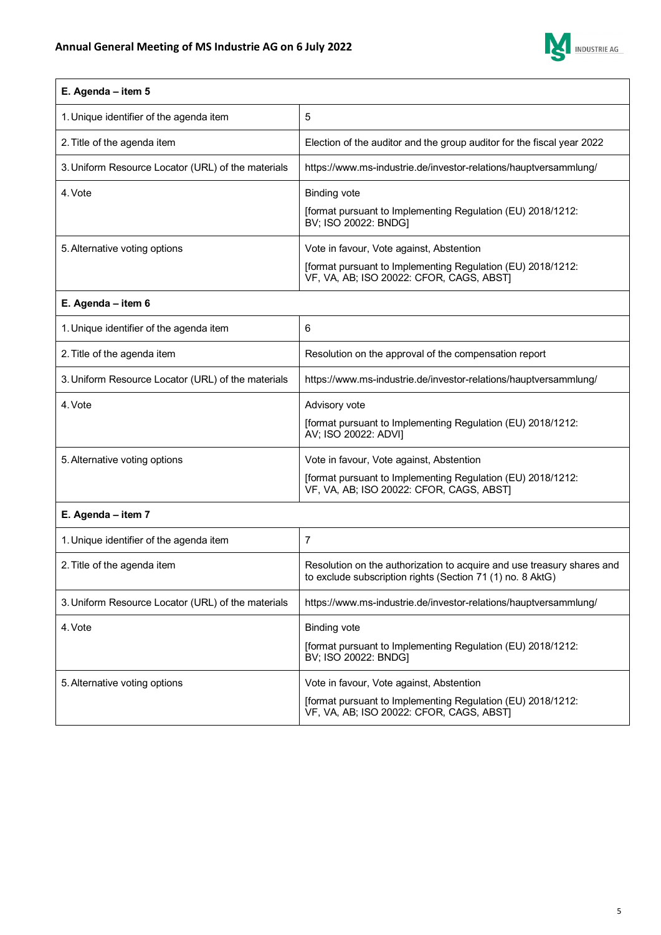

| E. Agenda - item 5                                 |                                                                                                                                      |
|----------------------------------------------------|--------------------------------------------------------------------------------------------------------------------------------------|
| 1. Unique identifier of the agenda item            | 5                                                                                                                                    |
| 2. Title of the agenda item                        | Election of the auditor and the group auditor for the fiscal year 2022                                                               |
| 3. Uniform Resource Locator (URL) of the materials | https://www.ms-industrie.de/investor-relations/hauptversammlung/                                                                     |
| 4. Vote                                            | <b>Binding vote</b>                                                                                                                  |
|                                                    | [format pursuant to Implementing Regulation (EU) 2018/1212:<br>BV; ISO 20022: BNDG]                                                  |
| 5. Alternative voting options                      | Vote in favour, Vote against, Abstention                                                                                             |
|                                                    | [format pursuant to Implementing Regulation (EU) 2018/1212:<br>VF, VA, AB; ISO 20022: CFOR, CAGS, ABST)                              |
| E. Agenda - item 6                                 |                                                                                                                                      |
| 1. Unique identifier of the agenda item            | 6                                                                                                                                    |
| 2. Title of the agenda item                        | Resolution on the approval of the compensation report                                                                                |
| 3. Uniform Resource Locator (URL) of the materials | https://www.ms-industrie.de/investor-relations/hauptversammlung/                                                                     |
| 4. Vote                                            | Advisory vote                                                                                                                        |
|                                                    | [format pursuant to Implementing Regulation (EU) 2018/1212:<br>AV; ISO 20022: ADVI]                                                  |
| 5. Alternative voting options                      | Vote in favour, Vote against, Abstention                                                                                             |
|                                                    | [format pursuant to Implementing Regulation (EU) 2018/1212:<br>VF, VA, AB; ISO 20022: CFOR, CAGS, ABST)                              |
| E. Agenda - item 7                                 |                                                                                                                                      |
| 1. Unique identifier of the agenda item            | $\overline{7}$                                                                                                                       |
| 2. Title of the agenda item                        | Resolution on the authorization to acquire and use treasury shares and<br>to exclude subscription rights (Section 71 (1) no. 8 AktG) |
| 3. Uniform Resource Locator (URL) of the materials | https://www.ms-industrie.de/investor-relations/hauptversammlung/                                                                     |
| 4. Vote                                            | <b>Binding vote</b>                                                                                                                  |
|                                                    | [format pursuant to Implementing Regulation (EU) 2018/1212:<br>BV; ISO 20022: BNDG]                                                  |
| 5. Alternative voting options                      | Vote in favour, Vote against, Abstention                                                                                             |
|                                                    | [format pursuant to Implementing Regulation (EU) 2018/1212:<br>VF, VA, AB; ISO 20022: CFOR, CAGS, ABST]                              |